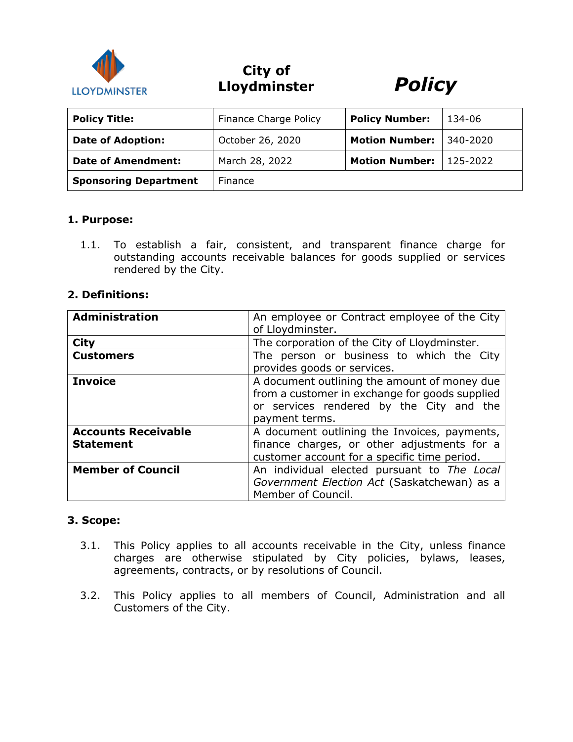

**City of Lloydminster** *Policy*



| <b>Policy Title:</b>         | Finance Charge Policy | <b>Policy Number:</b> | 134-06   |
|------------------------------|-----------------------|-----------------------|----------|
| <b>Date of Adoption:</b>     | October 26, 2020      | <b>Motion Number:</b> | 340-2020 |
| <b>Date of Amendment:</b>    | March 28, 2022        | <b>Motion Number:</b> | 125-2022 |
| <b>Sponsoring Department</b> | Finance               |                       |          |

### **1. Purpose:**

1.1. To establish a fair, consistent, and transparent finance charge for outstanding accounts receivable balances for goods supplied or services rendered by the City.

### **2. Definitions:**

| <b>Administration</b>                          | An employee or Contract employee of the City<br>of Lloydminster.                                                                                             |  |
|------------------------------------------------|--------------------------------------------------------------------------------------------------------------------------------------------------------------|--|
| <b>City</b>                                    | The corporation of the City of Lloydminster.                                                                                                                 |  |
| <b>Customers</b>                               | The person or business to which the City<br>provides goods or services.                                                                                      |  |
| <b>Invoice</b>                                 | A document outlining the amount of money due<br>from a customer in exchange for goods supplied<br>or services rendered by the City and the<br>payment terms. |  |
| <b>Accounts Receivable</b><br><b>Statement</b> | A document outlining the Invoices, payments,<br>finance charges, or other adjustments for a<br>customer account for a specific time period.                  |  |
| <b>Member of Council</b>                       | An individual elected pursuant to The Local<br>Government Election Act (Saskatchewan) as a<br>Member of Council.                                             |  |

### **3. Scope:**

- 3.1. This Policy applies to all accounts receivable in the City, unless finance charges are otherwise stipulated by City policies, bylaws, leases, agreements, contracts, or by resolutions of Council.
- 3.2. This Policy applies to all members of Council, Administration and all Customers of the City.